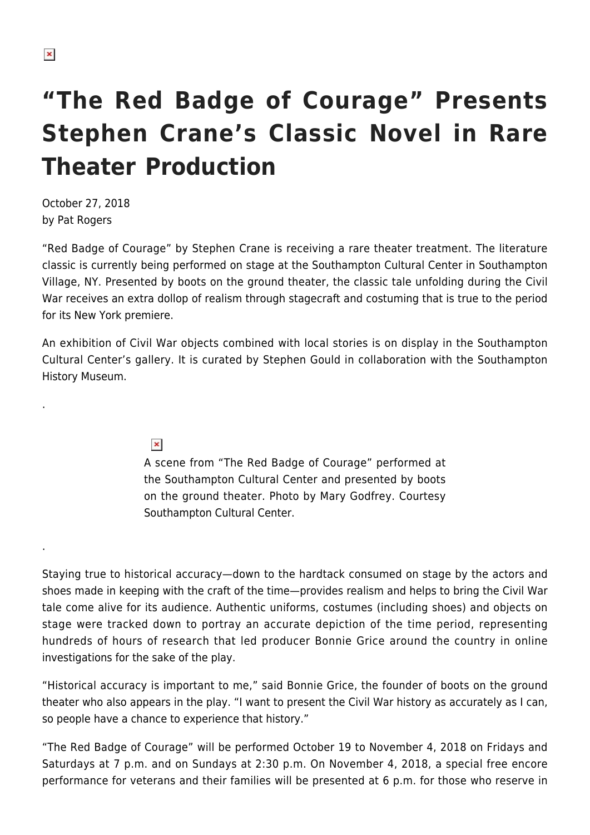.

.

## **"The Red Badge of Courage" Presents Stephen Crane's Classic Novel in Rare Theater Production**

October 27, 2018 by Pat Rogers

"Red Badge of Courage" by Stephen Crane is receiving a rare theater treatment. The literature classic is currently being performed on stage at the Southampton Cultural Center in Southampton Village, NY. Presented by boots on the ground theater, the classic tale unfolding during the Civil War receives an extra dollop of realism through stagecraft and costuming that is true to the period for its New York premiere.

An exhibition of Civil War objects combined with local stories is on display in the Southampton Cultural Center's gallery. It is curated by Stephen Gould in collaboration with the Southampton History Museum.

 $\pmb{\times}$ 

A scene from "The Red Badge of Courage" performed at the Southampton Cultural Center and presented by boots on the ground theater. Photo by Mary Godfrey. Courtesy Southampton Cultural Center.

Staying true to historical accuracy—down to the hardtack consumed on stage by the actors and shoes made in keeping with the craft of the time—provides realism and helps to bring the Civil War tale come alive for its audience. Authentic uniforms, costumes (including shoes) and objects on stage were tracked down to portray an accurate depiction of the time period, representing hundreds of hours of research that led producer Bonnie Grice around the country in online investigations for the sake of the play.

"Historical accuracy is important to me," said Bonnie Grice, the founder of boots on the ground theater who also appears in the play. "I want to present the Civil War history as accurately as I can, so people have a chance to experience that history."

"The Red Badge of Courage" will be performed October 19 to November 4, 2018 on Fridays and Saturdays at 7 p.m. and on Sundays at 2:30 p.m. On November 4, 2018, a special free encore performance for veterans and their families will be presented at 6 p.m. for those who reserve in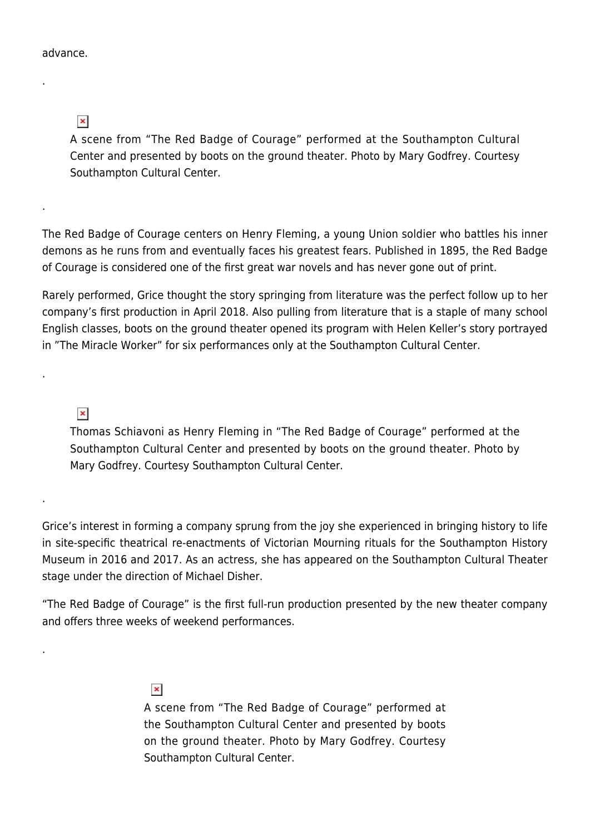## advance.

.

.

.

.

.

 $\pmb{\times}$ 

A scene from "The Red Badge of Courage" performed at the Southampton Cultural Center and presented by boots on the ground theater. Photo by Mary Godfrey. Courtesy Southampton Cultural Center.

The Red Badge of Courage centers on Henry Fleming, a young Union soldier who battles his inner demons as he runs from and eventually faces his greatest fears. Published in 1895, the Red Badge of Courage is considered one of the first great war novels and has never gone out of print.

Rarely performed, Grice thought the story springing from literature was the perfect follow up to her company's first production in April 2018. Also pulling from literature that is a staple of many school English classes, boots on the ground theater opened its program with Helen Keller's story portrayed in "The Miracle Worker" for six performances only at the Southampton Cultural Center.

 $\pmb{\times}$ 

Thomas Schiavoni as Henry Fleming in "The Red Badge of Courage" performed at the Southampton Cultural Center and presented by boots on the ground theater. Photo by Mary Godfrey. Courtesy Southampton Cultural Center.

Grice's interest in forming a company sprung from the joy she experienced in bringing history to life in site-specific theatrical re-enactments of Victorian Mourning rituals for the Southampton History Museum in 2016 and 2017. As an actress, she has appeared on the Southampton Cultural Theater stage under the direction of Michael Disher.

"The Red Badge of Courage" is the first full-run production presented by the new theater company and offers three weeks of weekend performances.

 $\pmb{\times}$ 

A scene from "The Red Badge of Courage" performed at the Southampton Cultural Center and presented by boots on the ground theater. Photo by Mary Godfrey. Courtesy Southampton Cultural Center.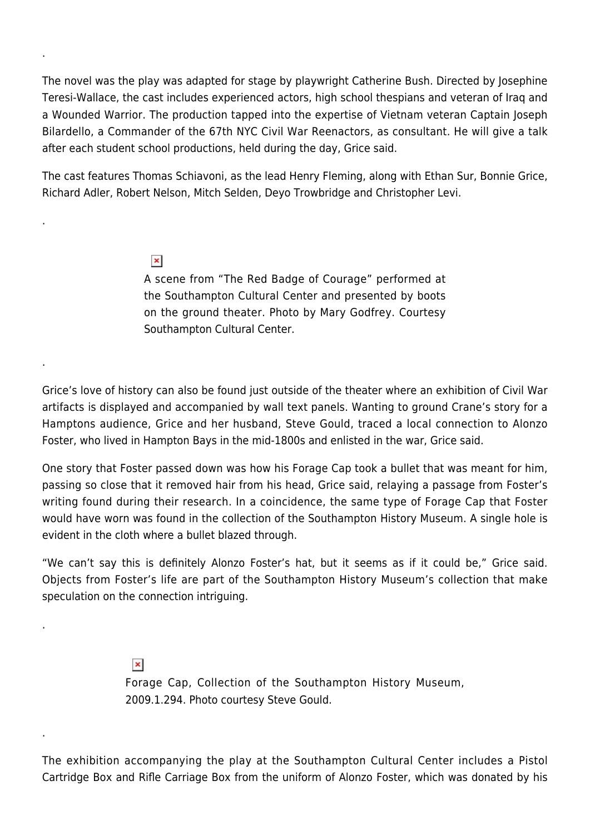The novel was the play was adapted for stage by playwright Catherine Bush. Directed by Josephine Teresi-Wallace, the cast includes experienced actors, high school thespians and veteran of Iraq and a Wounded Warrior. The production tapped into the expertise of Vietnam veteran Captain Joseph Bilardello, a Commander of the 67th NYC Civil War Reenactors, as consultant. He will give a talk after each student school productions, held during the day, Grice said.

The cast features Thomas Schiavoni, as the lead Henry Fleming, along with Ethan Sur, Bonnie Grice, Richard Adler, Robert Nelson, Mitch Selden, Deyo Trowbridge and Christopher Levi.

 $\pmb{\times}$ 

.

.

.

.

.

A scene from "The Red Badge of Courage" performed at the Southampton Cultural Center and presented by boots on the ground theater. Photo by Mary Godfrey. Courtesy Southampton Cultural Center.

Grice's love of history can also be found just outside of the theater where an exhibition of Civil War artifacts is displayed and accompanied by wall text panels. Wanting to ground Crane's story for a Hamptons audience, Grice and her husband, Steve Gould, traced a local connection to Alonzo Foster, who lived in Hampton Bays in the mid-1800s and enlisted in the war, Grice said.

One story that Foster passed down was how his Forage Cap took a bullet that was meant for him, passing so close that it removed hair from his head, Grice said, relaying a passage from Foster's writing found during their research. In a coincidence, the same type of Forage Cap that Foster would have worn was found in the collection of the Southampton History Museum. A single hole is evident in the cloth where a bullet blazed through.

"We can't say this is definitely Alonzo Foster's hat, but it seems as if it could be," Grice said. Objects from Foster's life are part of the Southampton History Museum's collection that make speculation on the connection intriguing.

> $\pmb{\times}$ Forage Cap, Collection of the Southampton History Museum, 2009.1.294. Photo courtesy Steve Gould.

The exhibition accompanying the play at the Southampton Cultural Center includes a Pistol Cartridge Box and Rifle Carriage Box from the uniform of Alonzo Foster, which was donated by his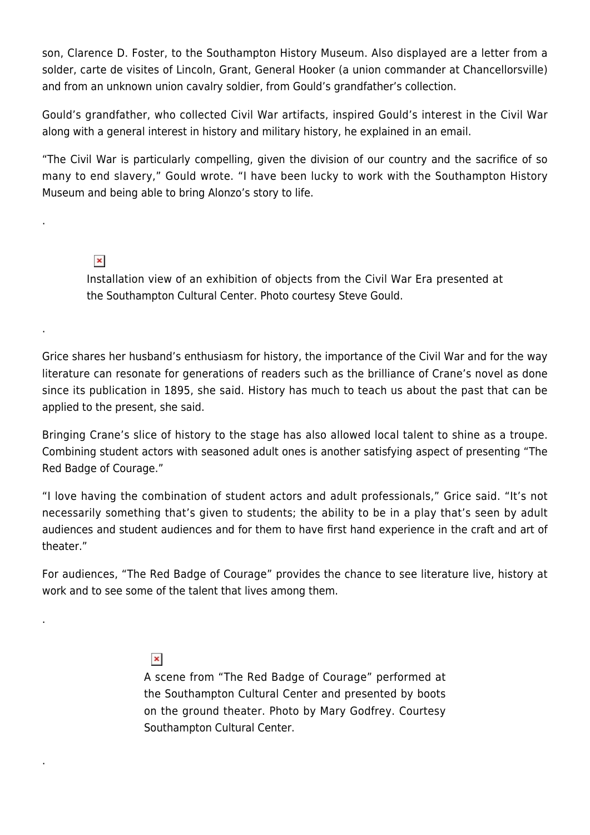son, Clarence D. Foster, to the Southampton History Museum. Also displayed are a letter from a solder, carte de visites of Lincoln, Grant, General Hooker (a union commander at Chancellorsville) and from an unknown union cavalry soldier, from Gould's grandfather's collection.

Gould's grandfather, who collected Civil War artifacts, inspired Gould's interest in the Civil War along with a general interest in history and military history, he explained in an email.

"The Civil War is particularly compelling, given the division of our country and the sacrifice of so many to end slavery," Gould wrote. "I have been lucky to work with the Southampton History Museum and being able to bring Alonzo's story to life.

## $\pmb{\times}$

.

.

.

.

Installation view of an exhibition of objects from the Civil War Era presented at the Southampton Cultural Center. Photo courtesy Steve Gould.

Grice shares her husband's enthusiasm for history, the importance of the Civil War and for the way literature can resonate for generations of readers such as the brilliance of Crane's novel as done since its publication in 1895, she said. History has much to teach us about the past that can be applied to the present, she said.

Bringing Crane's slice of history to the stage has also allowed local talent to shine as a troupe. Combining student actors with seasoned adult ones is another satisfying aspect of presenting "The Red Badge of Courage."

"I love having the combination of student actors and adult professionals," Grice said. "It's not necessarily something that's given to students; the ability to be in a play that's seen by adult audiences and student audiences and for them to have first hand experience in the craft and art of theater."

For audiences, "The Red Badge of Courage" provides the chance to see literature live, history at work and to see some of the talent that lives among them.

## $\pmb{\times}$

A scene from "The Red Badge of Courage" performed at the Southampton Cultural Center and presented by boots on the ground theater. Photo by Mary Godfrey. Courtesy Southampton Cultural Center.